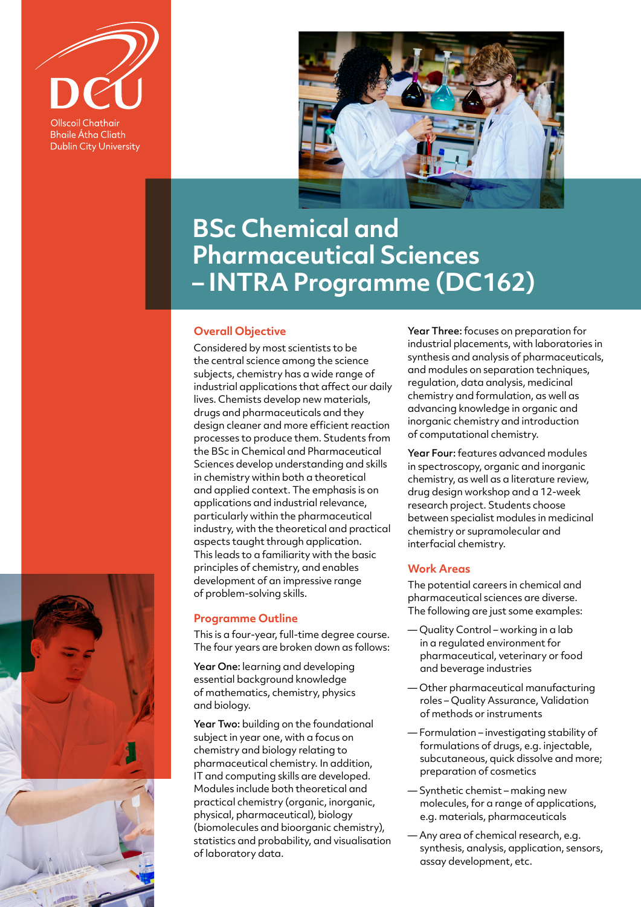

**Bhaile Átha Cliath Dublin City University** 



## **BSc Chemical and Pharmaceutical Sciences – INTRA Programme (DC162)**

## **Overall Objective**

Considered by most scientists to be the central science among the science subjects, chemistry has a wide range of industrial applications that affect our daily lives. Chemists develop new materials, drugs and pharmaceuticals and they design cleaner and more efficient reaction processes to produce them. Students from the BSc in Chemical and Pharmaceutical Sciences develop understanding and skills in chemistry within both a theoretical and applied context. The emphasis is on applications and industrial relevance, particularly within the pharmaceutical industry, with the theoretical and practical aspects taught through application. This leads to a familiarity with the basic principles of chemistry, and enables development of an impressive range of problem-solving skills.

## **Programme Outline**

This is a four-year, full-time degree course. The four years are broken down as follows:

Year One: learning and developing essential background knowledge of mathematics, chemistry, physics and biology.

Year Two: building on the foundational subject in year one, with a focus on chemistry and biology relating to pharmaceutical chemistry. In addition, IT and computing skills are developed. Modules include both theoretical and practical chemistry (organic, inorganic, physical, pharmaceutical), biology (biomolecules and bioorganic chemistry), statistics and probability, and visualisation of laboratory data.

Year Three: focuses on preparation for industrial placements, with laboratories in synthesis and analysis of pharmaceuticals, and modules on separation techniques, regulation, data analysis, medicinal chemistry and formulation, as well as advancing knowledge in organic and inorganic chemistry and introduction of computational chemistry.

Year Four: features advanced modules in spectroscopy, organic and inorganic chemistry, as well as a literature review, drug design workshop and a 12-week research project. Students choose between specialist modules in medicinal chemistry or supramolecular and interfacial chemistry.

## **Work Areas**

The potential careers in chemical and pharmaceutical sciences are diverse. The following are just some examples:

- Quality Control working in a lab in a regulated environment for pharmaceutical, veterinary or food and beverage industries
- Other pharmaceutical manufacturing roles – Quality Assurance, Validation of methods or instruments
- Formulation investigating stability of formulations of drugs, e.g. injectable, subcutaneous, quick dissolve and more; preparation of cosmetics
- Synthetic chemist making new molecules, for a range of applications, e.g. materials, pharmaceuticals
- Any area of chemical research, e.g. synthesis, analysis, application, sensors, assay development, etc.